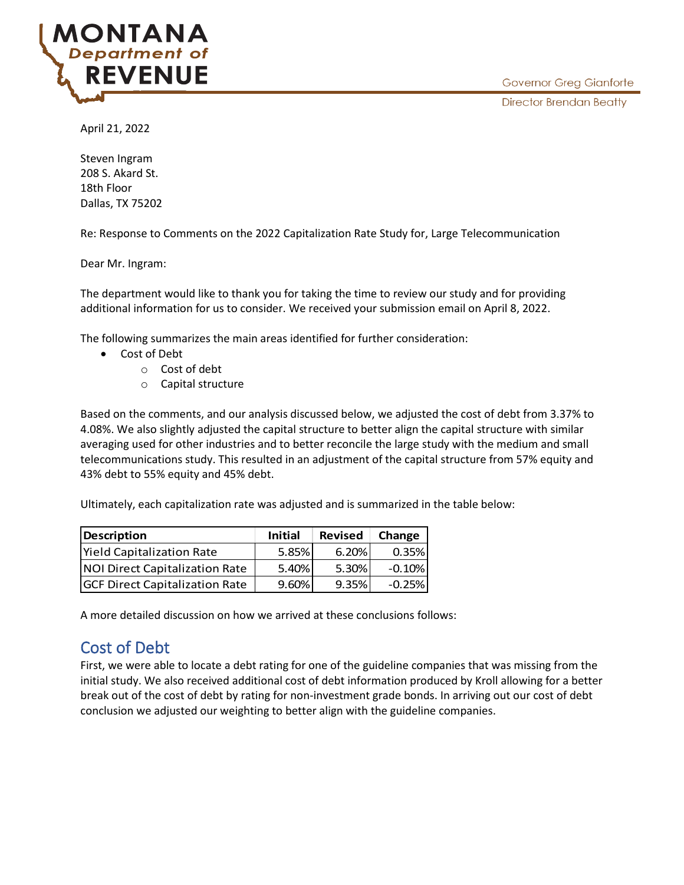**NIANA** Department of **REVENUE** 

April 21, 2022

Steven Ingram 208 S. Akard St. 18th Floor Dallas, TX 75202

Re: Response to Comments on the 2022 Capitalization Rate Study for, Large Telecommunication

Dear Mr. Ingram:

The department would like to thank you for taking the time to review our study and for providing additional information for us to consider. We received your submission email on April 8, 2022.

The following summarizes the main areas identified for further consideration:

- Cost of Debt
	- o Cost of debt
	- o Capital structure

Based on the comments, and our analysis discussed below, we adjusted the cost of debt from 3.37% to 4.08%. We also slightly adjusted the capital structure to better align the capital structure with similar averaging used for other industries and to better reconcile the large study with the medium and small telecommunications study. This resulted in an adjustment of the capital structure from 57% equity and 43% debt to 55% equity and 45% debt.

Ultimately, each capitalization rate was adjusted and is summarized in the table below:

| Description                           | <b>Initial</b> | <b>Revised</b> | Change    |
|---------------------------------------|----------------|----------------|-----------|
| <b>Yield Capitalization Rate</b>      | 5.85%          | 6.20%          | 0.35%     |
| NOI Direct Capitalization Rate        | 5.40%          | 5.30%          | $-0.10\%$ |
| <b>GCF Direct Capitalization Rate</b> | 9.60%          | 9.35%          | $-0.25\%$ |

A more detailed discussion on how we arrived at these conclusions follows:

## Cost of Debt

First, we were able to locate a debt rating for one of the guideline companies that was missing from the initial study. We also received additional cost of debt information produced by Kroll allowing for a better break out of the cost of debt by rating for non-investment grade bonds. In arriving out our cost of debt conclusion we adjusted our weighting to better align with the guideline companies.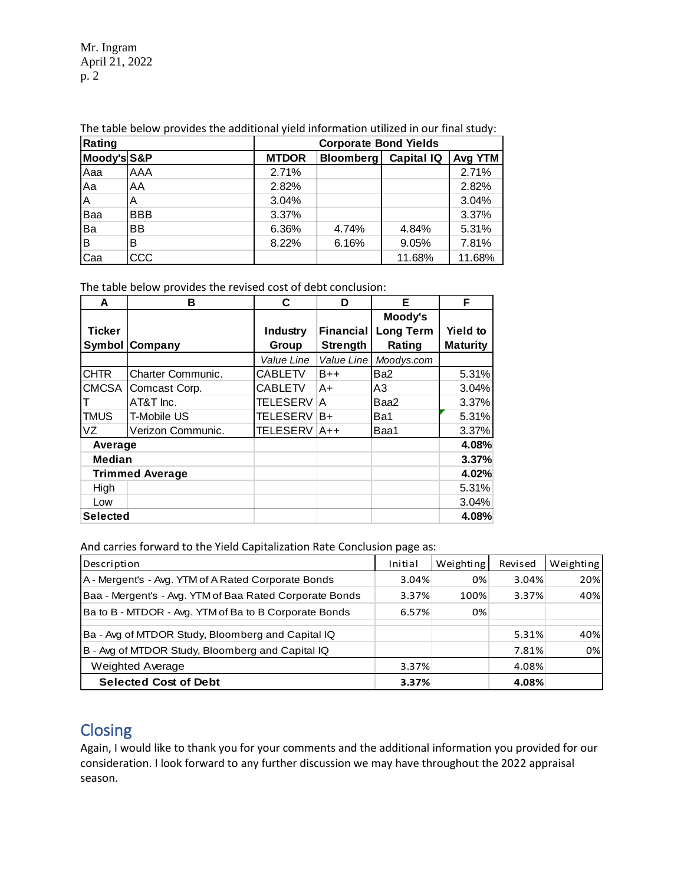Mr. Ingram April 21, 2022 p. 2

| Rating      |            | <b>Corporate Bond Yields</b> |                  |                   |         |
|-------------|------------|------------------------------|------------------|-------------------|---------|
| Moody's S&P |            | <b>MTDOR</b>                 | <b>Bloomberg</b> | <b>Capital IQ</b> | Avg YTM |
| Aaa         | <b>AAA</b> | 2.71%                        |                  |                   | 2.71%   |
| Aa          | AA         | 2.82%                        |                  |                   | 2.82%   |
| A           | А          | 3.04%                        |                  |                   | 3.04%   |
| <b>Baa</b>  | <b>BBB</b> | 3.37%                        |                  |                   | 3.37%   |
| Ba          | <b>BB</b>  | 6.36%                        | 4.74%            | 4.84%             | 5.31%   |
| ΙB          | В          | 8.22%                        | 6.16%            | 9.05%             | 7.81%   |
| Caa         | CCC        |                              |                  | 11.68%            | 11.68%  |

The table below provides the additional yield information utilized in our final study:

The table below provides the revised cost of debt conclusion:

| A               | в                      | C.              | D               | Е                | F               |
|-----------------|------------------------|-----------------|-----------------|------------------|-----------------|
|                 |                        |                 |                 | Moody's          |                 |
| <b>Ticker</b>   |                        | Industry        | lFinancial      | <b>Long Term</b> | <b>Yield to</b> |
| <b>Symbol</b>   | Company                | <b>Group</b>    | <b>Strength</b> | Rating           | <b>Maturity</b> |
|                 |                        | Value Line      | Value Line      | Moodys.com       |                 |
| <b>CHTR</b>     | Charter Communic.      | <b>CABLETV</b>  | $B++$           | Ba <sub>2</sub>  | 5.31%           |
| <b>CMCSA</b>    | Comcast Corp.          | <b>CABLETV</b>  | A+              | A3               | 3.04%           |
|                 | AT&T Inc.              | <b>TELESERV</b> | <b>IA</b>       | Baa2             | 3.37%           |
| <b>TMUS</b>     | <b>T-Mobile US</b>     | <b>TELESERV</b> | $B+$            | Ba1              | 5.31%           |
| VZ.             | Verizon Communic.      | <b>TELESERV</b> | $AA++$          | Baa1             | 3.37%           |
| Average         |                        |                 |                 |                  | 4.08%           |
| <b>Median</b>   |                        |                 |                 |                  | 3.37%           |
|                 | <b>Trimmed Average</b> |                 |                 |                  | 4.02%           |
| High            |                        |                 |                 |                  | 5.31%           |
| Low             |                        |                 |                 |                  | 3.04%           |
| <b>Selected</b> |                        |                 |                 |                  | 4.08%           |

| And carries forward to the Yield Capitalization Rate Conclusion page as: |         |           |         |           |
|--------------------------------------------------------------------------|---------|-----------|---------|-----------|
| Description                                                              | Initial | Weighting | Revised | Weighting |
| A - Mergent's - Avg. YTM of A Rated Corporate Bonds                      | 3.04%   | 0%        | 3.04%   | 20%       |
| Baa - Mergent's - Avg. YTM of Baa Rated Corporate Bonds                  | 3.37%   | 100%      | 3.37%   | 40%       |
| Ba to B - MTDOR - Avg. YTM of Ba to B Corporate Bonds                    | 6.57%   | 0%        |         |           |
| Ba - Avg of MTDOR Study, Bloomberg and Capital IQ                        |         |           | 5.31%   | 40%       |
| B - Avg of MTDOR Study, Bloomberg and Capital IQ                         |         |           | 7.81%   | 0%        |
| Weighted Average                                                         | 3.37%   |           | 4.08%   |           |
| <b>Selected Cost of Debt</b>                                             | 3.37%   |           | 4.08%   |           |

## **Closing**

Again, I would like to thank you for your comments and the additional information you provided for our consideration. I look forward to any further discussion we may have throughout the 2022 appraisal season.